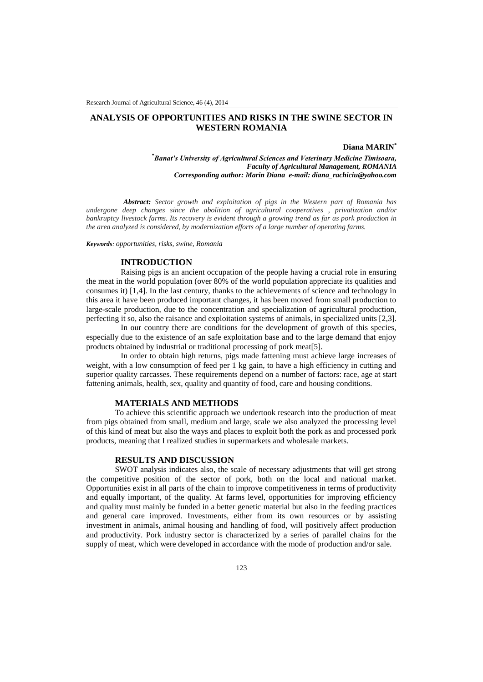# **ANALYSIS OF OPPORTUNITIES AND RISKS IN THE SWINE SECTOR IN WESTERN ROMANIA**

## **Diana MARIN\***

**\****Banat's University of Agricultural Sciences and Veterinary Medicine Timisoara, Faculty of Agricultural Management, ROMANIA Corresponding author: Marin Diana e-mail: diana\_rachiciu@yahoo.com*

*Abstract: Sector growth and exploitation of pigs in the Western part of Romania has undergone deep changes since the abolition of agricultural cooperatives , privatization and/or bankruptcy livestock farms. Its recovery is evident through a growing trend as far as pork production in the area analyzed is considered, by modernization efforts of a large number of operating farms.*

*Keywords: opportunities, risks, swine, Romania*

# **INTRODUCTION**

Raising pigs is an ancient occupation of the people having a crucial role in ensuring the meat in the world population (over 80% of the world population appreciate its qualities and consumes it) [1,4]. In the last century, thanks to the achievements of science and technology in this area it have been produced important changes, it has been moved from small production to large-scale production, due to the concentration and specialization of agricultural production, perfecting it so, also the raisance and exploitation systems of animals, in specialized units [2,3].

In our country there are conditions for the development of growth of this species, especially due to the existence of an safe exploitation base and to the large demand that enjoy products obtained by industrial or traditional processing of pork meat[5].

In order to obtain high returns, pigs made fattening must achieve large increases of weight, with a low consumption of feed per 1 kg gain, to have a high efficiency in cutting and superior quality carcasses. These requirements depend on a number of factors: race, age at start fattening animals, health, sex, quality and quantity of food, care and housing conditions.

## **MATERIALS AND METHODS**

To achieve this scientific approach we undertook research into the production of meat from pigs obtained from small, medium and large, scale we also analyzed the processing level of this kind of meat but also the ways and places to exploit both the pork as and processed pork products, meaning that I realized studies in supermarkets and wholesale markets.

### **RESULTS AND DISCUSSION**

SWOT analysis indicates also, the scale of necessary adjustments that will get strong the competitive position of the sector of pork, both on the local and national market. Opportunities exist in all parts of the chain to improve competitiveness in terms of productivity and equally important, of the quality. At farms level, opportunities for improving efficiency and quality must mainly be funded in a better genetic material but also in the feeding practices and general care improved. Investments, either from its own resources or by assisting investment in animals, animal housing and handling of food, will positively affect production and productivity. Pork industry sector is characterized by a series of parallel chains for the supply of meat, which were developed in accordance with the mode of production and/or sale.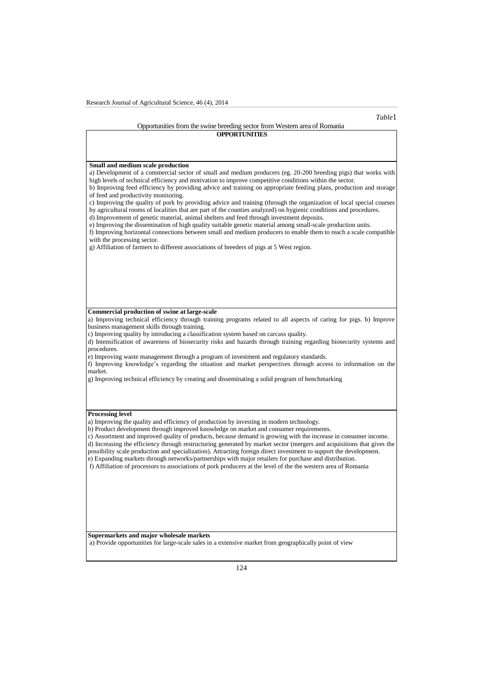### Opportunities from the swine breeding sector from Western area of Romania **OPPORTUNITIES**

# **Small and medium scale production**  a) Development of a commercial sector of small and medium producers (eg. 20-200 breeding pigs) that works with high levels of technical efficiency and motivation to improve competitive conditions within the sector. b) Improving feed efficiency by providing advice and training on appropriate feeding plans, production and storage of feed and productivity monitoring. c) Improving the quality of pork by providing advice and training (through the organization of local special courses by agricultural rooms of localities that are part of the counties analyzed) on hygienic conditions and procedures. d) Improvement of genetic material, animal shelters and feed through investment deposits. e) Improving the dissemination of high quality suitable genetic material among small-scale production units. f) Improving horizontal connections between small and medium producers to enable them to reach a scale compatible with the processing sector. g) Affiliation of farmers to different associations of breeders of pigs at 5 West region. **Commercial production of swine at large-scale**  a) Improving technical efficiency through training programs related to all aspects of caring for pigs. b) Improve business management skills through training. c) Improving quality by introducing a classification system based on carcass quality. d) Intensification of awareness of biosecurity risks and hazards through training regarding biosecurity systems and procedures. e) Improving waste management through a program of investment and regulatory standards. f) Improving knowledge's regarding the situation and market perspectives through access to information on the market. g) Improving technical efficiency by creating and disseminating a solid program of benchmarking **Processing level**  a) Improving the quality and efficiency of production by investing in modern technology. b) Product development through improved knowledge on market and consumer requirements. c) Assortment and improved quality of products, because demand is growing with the increase in consumer income. d) Increasing the efficiency through restructuring generated by market sector (mergers and acquisitions that gives the possibility scale production and specialization). Attracting foreign direct investment to support the development. e) Expanding markets through networks/partnerships with major retailers for purchase and distribution. f) Affiliation of processors to associations of pork producers at the level of the the western area of Romania **Supermarkets and major wholesale markets** a) Provide opportunities for large-scale sales in a extensive market from geographically point of view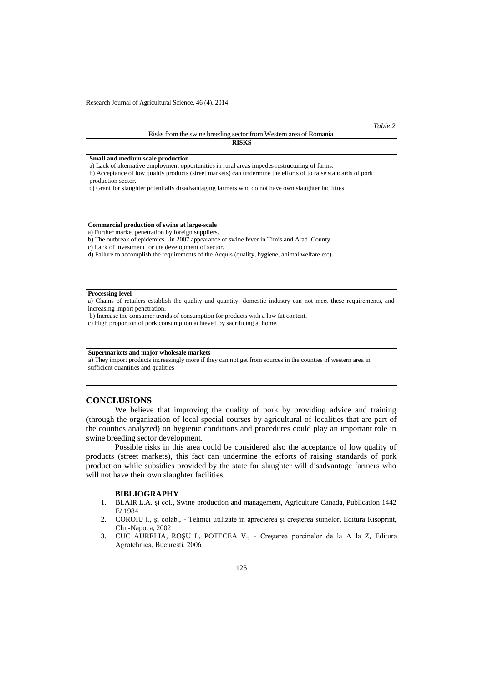### *Table 2*

### Risks from the swine breeding sector from Western area of Romania

| <b>RISKS</b>                                                                                                                                                                                                                                                                                                                                                                      |
|-----------------------------------------------------------------------------------------------------------------------------------------------------------------------------------------------------------------------------------------------------------------------------------------------------------------------------------------------------------------------------------|
| Small and medium scale production<br>a) Lack of alternative employment opportunities in rural areas impedes restructuring of farms.<br>b) Acceptance of low quality products (street markets) can undermine the efforts of to raise standards of pork<br>production sector.<br>c) Grant for slaughter potentially disadvantaging farmers who do not have own slaughter facilities |
| Commercial production of swine at large-scale<br>a) Further market penetration by foreign suppliers.<br>b) The outbreak of epidemics. -in 2007 appearance of swine fever in Timis and Arad County<br>c) Lack of investment for the development of sector.<br>d) Failure to accomplish the requirements of the Acquis (quality, hygiene, animal welfare etc).                      |
| <b>Processing level</b><br>a) Chains of retailers establish the quality and quantity; domestic industry can not meet these requirements, and<br>increasing import penetration.<br>b) Increase the consumer trends of consumption for products with a low fat content.<br>c) High proportion of pork consumption achieved by sacrificing at home.                                  |
| Supermarkets and major wholesale markets<br>a) They import products increasingly more if they can not get from sources in the counties of western area in<br>sufficient quantities and qualities                                                                                                                                                                                  |

## **CONCLUSIONS**

We believe that improving the quality of pork by providing advice and training (through the organization of local special courses by agricultural of localities that are part of the counties analyzed) on hygienic conditions and procedures could play an important role in swine breeding sector development.

Possible risks in this area could be considered also the acceptance of low quality of products (street markets), this fact can undermine the efforts of raising standards of pork production while subsidies provided by the state for slaughter will disadvantage farmers who will not have their own slaughter facilities.

## **BIBLIOGRAPHY**

- 1. BLAIR L.A. şi col., Swine production and management, Agriculture Canada, Publication 1442 E/ 1984
- 2. COROIU I., şi colab., Tehnici utilizate în aprecierea şi creşterea suinelor, Editura Risoprint, Cluj-Napoca, 2002
- 3. CUC AURELIA, ROŞU I., POTECEA V., Creşterea porcinelor de la A la Z, Editura Agrotehnica, Bucureşti, 2006